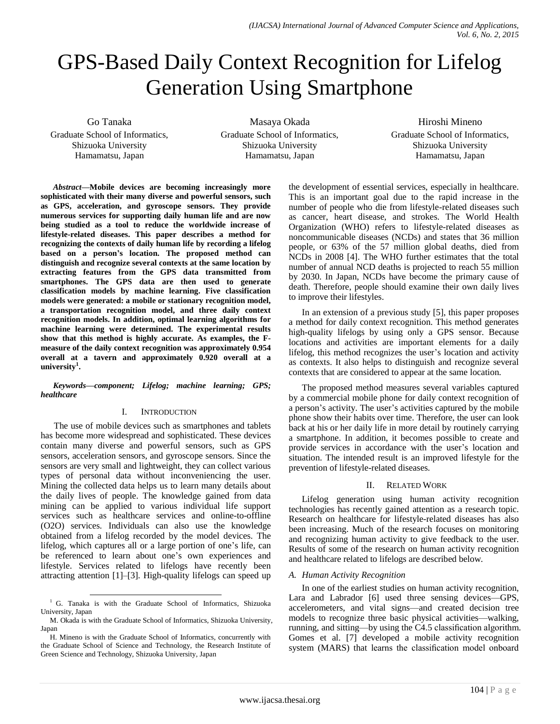# GPS-Based Daily Context Recognition for Lifelog Generation Using Smartphone

Go Tanaka

Graduate School of Informatics, Shizuoka University Hamamatsu, Japan

Masaya Okada Graduate School of Informatics, Shizuoka University Hamamatsu, Japan

Hiroshi Mineno Graduate School of Informatics, Shizuoka University Hamamatsu, Japan

*Abstract***—Mobile devices are becoming increasingly more sophisticated with their many diverse and powerful sensors, such as GPS, acceleration, and gyroscope sensors. They provide numerous services for supporting daily human life and are now being studied as a tool to reduce the worldwide increase of lifestyle-related diseases. This paper describes a method for recognizing the contexts of daily human life by recording a lifelog based on a person's location. The proposed method can distinguish and recognize several contexts at the same location by extracting features from the GPS data transmitted from smartphones. The GPS data are then used to generate classification models by machine learning. Five classification models were generated: a mobile or stationary recognition model, a transportation recognition model, and three daily context recognition models. In addition, optimal learning algorithms for machine learning were determined. The experimental results show that this method is highly accurate. As examples, the Fmeasure of the daily context recognition was approximately 0.954 overall at a tavern and approximately 0.920 overall at a university<sup>1</sup> .**

*Keywords—component; Lifelog; machine learning; GPS; healthcare*

## I. INTRODUCTION

The use of mobile devices such as smartphones and tablets has become more widespread and sophisticated. These devices contain many diverse and powerful sensors, such as GPS sensors, acceleration sensors, and gyroscope sensors. Since the sensors are very small and lightweight, they can collect various types of personal data without inconveniencing the user. Mining the collected data helps us to learn many details about the daily lives of people. The knowledge gained from data mining can be applied to various individual life support services such as healthcare services and online-to-offline (O2O) services. Individuals can also use the knowledge obtained from a lifelog recorded by the model devices. The lifelog, which captures all or a large portion of one's life, can be referenced to learn about one's own experiences and lifestyle. Services related to lifelogs have recently been attracting attention [1]–[3]. High-quality lifelogs can speed up

 $\overline{a}$ 

the development of essential services, especially in healthcare. This is an important goal due to the rapid increase in the number of people who die from lifestyle-related diseases such as cancer, heart disease, and strokes. The World Health Organization (WHO) refers to lifestyle-related diseases as noncommunicable diseases (NCDs) and states that 36 million people, or 63% of the 57 million global deaths, died from NCDs in 2008 [4]. The WHO further estimates that the total number of annual NCD deaths is projected to reach 55 million by 2030. In Japan, NCDs have become the primary cause of death. Therefore, people should examine their own daily lives to improve their lifestyles.

In an extension of a previous study [5], this paper proposes a method for daily context recognition. This method generates high-quality lifelogs by using only a GPS sensor. Because locations and activities are important elements for a daily lifelog, this method recognizes the user's location and activity as contexts. It also helps to distinguish and recognize several contexts that are considered to appear at the same location.

The proposed method measures several variables captured by a commercial mobile phone for daily context recognition of a person's activity. The user's activities captured by the mobile phone show their habits over time. Therefore, the user can look back at his or her daily life in more detail by routinely carrying a smartphone. In addition, it becomes possible to create and provide services in accordance with the user's location and situation. The intended result is an improved lifestyle for the prevention of lifestyle-related diseases.

## II. RELATED WORK

Lifelog generation using human activity recognition technologies has recently gained attention as a research topic. Research on healthcare for lifestyle-related diseases has also been increasing. Much of the research focuses on monitoring and recognizing human activity to give feedback to the user. Results of some of the research on human activity recognition and healthcare related to lifelogs are described below.

## *A. Human Activity Recognition*

In one of the earliest studies on human activity recognition, Lara and Labrador [6] used three sensing devices—GPS, accelerometers, and vital signs—and created decision tree models to recognize three basic physical activities—walking, running, and sitting—by using the C4.5 classification algorithm. Gomes et al. [7] developed a mobile activity recognition system (MARS) that learns the classification model onboard

<sup>1</sup> G. Tanaka is with the Graduate School of Informatics, Shizuoka University, Japan

M. Okada is with the Graduate School of Informatics, Shizuoka University, Japan

H. Mineno is with the Graduate School of Informatics, concurrently with the Graduate School of Science and Technology, the Research Institute of Green Science and Technology, Shizuoka University, Japan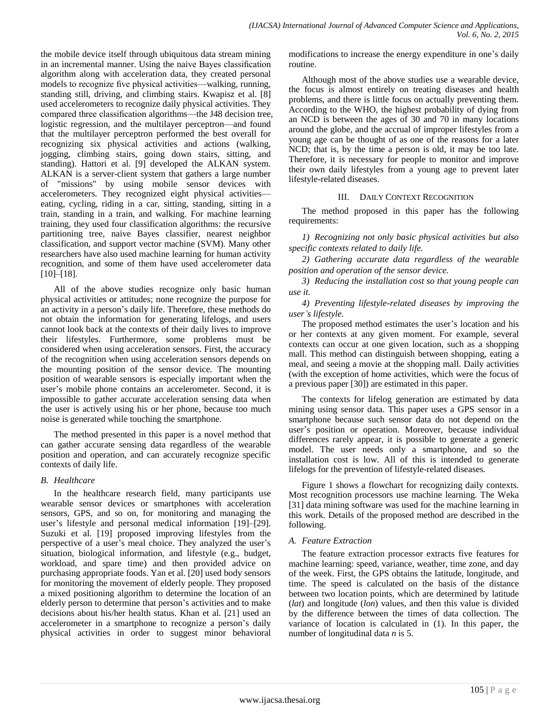the mobile device itself through ubiquitous data stream mining in an incremental manner. Using the naive Bayes classification algorithm along with acceleration data, they created personal models to recognize five physical activities—walking, running, standing still, driving, and climbing stairs. Kwapisz et al. [8] used accelerometers to recognize daily physical activities. They compared three classification algorithms—the J48 decision tree, logistic regression, and the multilayer perceptron—and found that the multilayer perceptron performed the best overall for recognizing six physical activities and actions (walking, jogging, climbing stairs, going down stairs, sitting, and standing). Hattori et al. [9] developed the ALKAN system. ALKAN is a server-client system that gathers a large number of "missions" by using mobile sensor devices with accelerometers. They recognized eight physical activities eating, cycling, riding in a car, sitting, standing, sitting in a train, standing in a train, and walking. For machine learning training, they used four classification algorithms: the recursive partitioning tree, naive Bayes classifier, nearest neighbor classification, and support vector machine (SVM). Many other researchers have also used machine learning for human activity recognition, and some of them have used accelerometer data [10]–[18].

All of the above studies recognize only basic human physical activities or attitudes; none recognize the purpose for an activity in a person's daily life. Therefore, these methods do not obtain the information for generating lifelogs, and users cannot look back at the contexts of their daily lives to improve their lifestyles. Furthermore, some problems must be considered when using acceleration sensors. First, the accuracy of the recognition when using acceleration sensors depends on the mounting position of the sensor device. The mounting position of wearable sensors is especially important when the user's mobile phone contains an accelerometer. Second, it is impossible to gather accurate acceleration sensing data when the user is actively using his or her phone, because too much noise is generated while touching the smartphone.

The method presented in this paper is a novel method that can gather accurate sensing data regardless of the wearable position and operation, and can accurately recognize specific contexts of daily life.

# *B. Healthcare*

In the healthcare research field, many participants use wearable sensor devices or smartphones with acceleration sensors, GPS, and so on, for monitoring and managing the user's lifestyle and personal medical information [19]–[29]. Suzuki et al. [19] proposed improving lifestyles from the perspective of a user's meal choice. They analyzed the user's situation, biological information, and lifestyle (e.g., budget, workload, and spare time) and then provided advice on purchasing appropriate foods. Yan et al. [20] used body sensors for monitoring the movement of elderly people. They proposed a mixed positioning algorithm to determine the location of an elderly person to determine that person's activities and to make decisions about his/her health status. Khan et al. [21] used an accelerometer in a smartphone to recognize a person's daily physical activities in order to suggest minor behavioral modifications to increase the energy expenditure in one's daily routine.

Although most of the above studies use a wearable device, the focus is almost entirely on treating diseases and health problems, and there is little focus on actually preventing them. According to the WHO, the highest probability of dying from an NCD is between the ages of 30 and 70 in many locations around the globe, and the accrual of improper lifestyles from a young age can be thought of as one of the reasons for a later NCD; that is, by the time a person is old, it may be too late. Therefore, it is necessary for people to monitor and improve their own daily lifestyles from a young age to prevent later lifestyle-related diseases.

## III. DAILY CONTEXT RECOGNITION

The method proposed in this paper has the following requirements:

*1) Recognizing not only basic physical activities but also specific contexts related to daily life.*

*2) Gathering accurate data regardless of the wearable position and operation of the sensor device.*

*3) Reducing the installation cost so that young people can use it.*

*4) Preventing lifestyle-related diseases by improving the user's lifestyle.*

The proposed method estimates the user's location and his or her contexts at any given moment. For example, several contexts can occur at one given location, such as a shopping mall. This method can distinguish between shopping, eating a meal, and seeing a movie at the shopping mall. Daily activities (with the exception of home activities, which were the focus of a previous paper [30]) are estimated in this paper.

The contexts for lifelog generation are estimated by data mining using sensor data. This paper uses a GPS sensor in a smartphone because such sensor data do not depend on the user's position or operation. Moreover, because individual differences rarely appear, it is possible to generate a generic model. The user needs only a smartphone, and so the installation cost is low. All of this is intended to generate lifelogs for the prevention of lifestyle-related diseases.

Figure 1 shows a flowchart for recognizing daily contexts. Most recognition processors use machine learning. The Weka [31] data mining software was used for the machine learning in this work. Details of the proposed method are described in the following.

# *A. Feature Extraction*

The feature extraction processor extracts five features for machine learning: speed, variance, weather, time zone, and day of the week. First, the GPS obtains the latitude, longitude, and time. The speed is calculated on the basis of the distance between two location points, which are determined by latitude (*lat*) and longitude (*lon*) values, and then this value is divided by the difference between the times of data collection. The variance of location is calculated in (1). In this paper, the number of longitudinal data *n* is 5.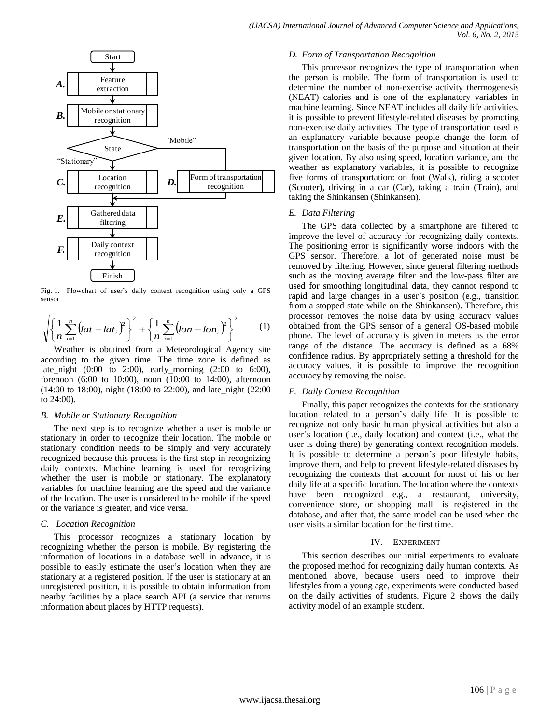

Fig. 1. Flowchart of user's daily context recognition using only a GPS sensor

$$
\sqrt{\left\{\frac{1}{n}\sum_{i=1}^{n}\left(\overline{lat}-lat_{i}\right)^{2}\right\}^{2}+\left\{\frac{1}{n}\sum_{i=1}^{n}\left(\overline{lon}-lon_{i}\right)^{2}\right\}^{2}}
$$
(1)

Weather is obtained from a Meteorological Agency site according to the given time. The time zone is defined as late\_night (0:00 to 2:00), early\_morning (2:00 to 6:00), forenoon (6:00 to 10:00), noon (10:00 to 14:00), afternoon (14:00 to 18:00), night (18:00 to 22:00), and late\_night (22:00 to 24:00).

#### *B. Mobile or Stationary Recognition*

The next step is to recognize whether a user is mobile or stationary in order to recognize their location. The mobile or stationary condition needs to be simply and very accurately recognized because this process is the first step in recognizing daily contexts. Machine learning is used for recognizing whether the user is mobile or stationary. The explanatory variables for machine learning are the speed and the variance of the location. The user is considered to be mobile if the speed or the variance is greater, and vice versa.

#### *C. Location Recognition*

This processor recognizes a stationary location by recognizing whether the person is mobile. By registering the information of locations in a database well in advance, it is possible to easily estimate the user's location when they are stationary at a registered position. If the user is stationary at an unregistered position, it is possible to obtain information from nearby facilities by a place search API (a service that returns information about places by HTTP requests).

#### *D. Form of Transportation Recognition*

This processor recognizes the type of transportation when the person is mobile. The form of transportation is used to determine the number of non-exercise activity thermogenesis (NEAT) calories and is one of the explanatory variables in machine learning. Since NEAT includes all daily life activities, it is possible to prevent lifestyle-related diseases by promoting non-exercise daily activities. The type of transportation used is an explanatory variable because people change the form of transportation on the basis of the purpose and situation at their given location. By also using speed, location variance, and the weather as explanatory variables, it is possible to recognize five forms of transportation: on foot (Walk), riding a scooter (Scooter), driving in a car (Car), taking a train (Train), and taking the Shinkansen (Shinkansen).

#### *E. Data Filtering*

The GPS data collected by a smartphone are filtered to improve the level of accuracy for recognizing daily contexts. The positioning error is significantly worse indoors with the GPS sensor. Therefore, a lot of generated noise must be removed by filtering. However, since general filtering methods such as the moving average filter and the low-pass filter are used for smoothing longitudinal data, they cannot respond to rapid and large changes in a user's position (e.g., transition from a stopped state while on the Shinkansen). Therefore, this processor removes the noise data by using accuracy values obtained from the GPS sensor of a general OS-based mobile phone. The level of accuracy is given in meters as the error range of the distance. The accuracy is defined as a 68% confidence radius. By appropriately setting a threshold for the accuracy values, it is possible to improve the recognition accuracy by removing the noise.

#### *F. Daily Context Recognition*

Finally, this paper recognizes the contexts for the stationary location related to a person's daily life. It is possible to recognize not only basic human physical activities but also a user's location (i.e., daily location) and context (i.e., what the user is doing there) by generating context recognition models. It is possible to determine a person's poor lifestyle habits, improve them, and help to prevent lifestyle-related diseases by recognizing the contexts that account for most of his or her daily life at a specific location. The location where the contexts have been recognized—e.g., a restaurant, university, convenience store, or shopping mall—is registered in the database, and after that, the same model can be used when the user visits a similar location for the first time.

#### IV. EXPERIMENT

This section describes our initial experiments to evaluate the proposed method for recognizing daily human contexts. As mentioned above, because users need to improve their lifestyles from a young age, experiments were conducted based on the daily activities of students. Figure 2 shows the daily activity model of an example student.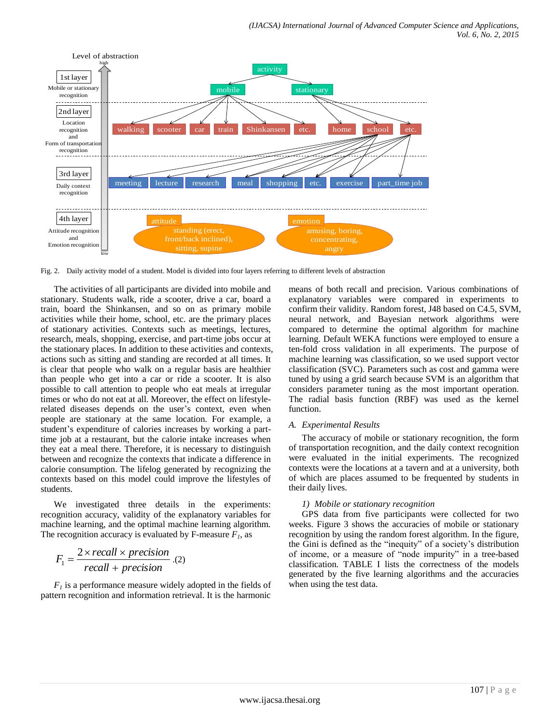

Fig. 2. Daily activity model of a student. Model is divided into four layers referring to different levels of abstraction

The activities of all participants are divided into mobile and stationary. Students walk, ride a scooter, drive a car, board a train, board the Shinkansen, and so on as primary mobile activities while their home, school, etc. are the primary places of stationary activities. Contexts such as meetings, lectures, research, meals, shopping, exercise, and part-time jobs occur at the stationary places. In addition to these activities and contexts, actions such as sitting and standing are recorded at all times. It is clear that people who walk on a regular basis are healthier than people who get into a car or ride a scooter. It is also possible to call attention to people who eat meals at irregular times or who do not eat at all. Moreover, the effect on lifestylerelated diseases depends on the user's context, even when people are stationary at the same location. For example, a student's expenditure of calories increases by working a parttime job at a restaurant, but the calorie intake increases when they eat a meal there. Therefore, it is necessary to distinguish between and recognize the contexts that indicate a difference in calorie consumption. The lifelog generated by recognizing the contexts based on this model could improve the lifestyles of students.

We investigated three details in the experiments: recognition accuracy, validity of the explanatory variables for machine learning, and the optimal machine learning algorithm. The recognition accuracy is evaluated by F-measure  $F_I$ , as

$$
F_1 = \frac{2 \times recall \times precision}{recall + precision}
$$
. (2)

*F<sup>1</sup>* is a performance measure widely adopted in the fields of pattern recognition and information retrieval. It is the harmonic

means of both recall and precision. Various combinations of explanatory variables were compared in experiments to confirm their validity. Random forest, J48 based on C4.5, SVM, neural network, and Bayesian network algorithms were compared to determine the optimal algorithm for machine learning. Default WEKA functions were employed to ensure a ten-fold cross validation in all experiments. The purpose of machine learning was classification, so we used support vector classification (SVC). Parameters such as cost and gamma were tuned by using a grid search because SVM is an algorithm that considers parameter tuning as the most important operation. The radial basis function (RBF) was used as the kernel function.

## *A. Experimental Results*

The accuracy of mobile or stationary recognition, the form of transportation recognition, and the daily context recognition were evaluated in the initial experiments. The recognized contexts were the locations at a tavern and at a university, both of which are places assumed to be frequented by students in their daily lives.

#### *1) Mobile or stationary recognition*

GPS data from five participants were collected for two weeks. Figure 3 shows the accuracies of mobile or stationary recognition by using the random forest algorithm. In the figure, the Gini is defined as the "inequity" of a society's distribution of income, or a measure of "node impurity" in a tree-based classification. TABLE I lists the correctness of the models generated by the five learning algorithms and the accuracies when using the test data.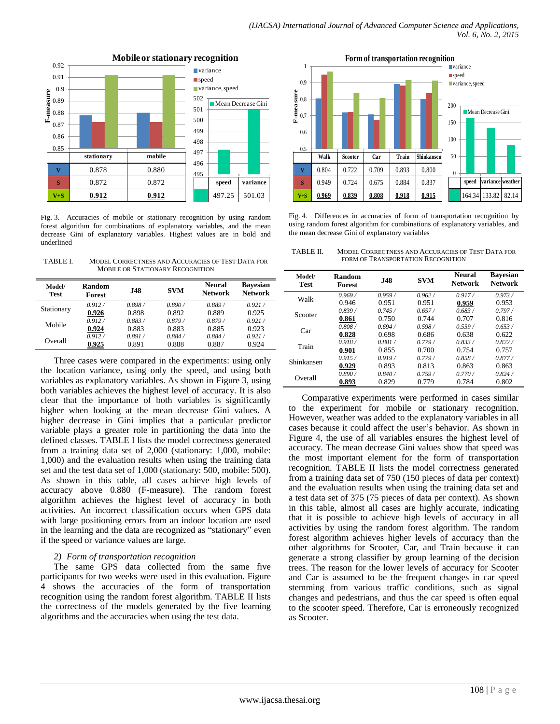

**Mobile or stationary recognition**

Fig. 3. Accuracies of mobile or stationary recognition by using random forest algorithm for combinations of explanatory variables, and the mean decrease Gini of explanatory variables. Highest values are in bold and underlined

TABLE I. MODEL CORRECTNESS AND ACCURACIES OF TEST DATA FOR MOBILE OR STATIONARY RECOGNITION

| Model/<br>Test | <b>Random</b><br><b>Forest</b> | <b>J48</b> | <b>SVM</b> | <b>Neural</b><br><b>Network</b> | <b>Bavesian</b><br><b>Network</b> |
|----------------|--------------------------------|------------|------------|---------------------------------|-----------------------------------|
| Stationary     | 0.912/                         | 0.898/     | 0.890 /    | 0.889/                          | 0.921/                            |
|                | 0.926                          | 0.898      | 0.892      | 0.889                           | 0.925                             |
|                | 0.912/                         | 0.883/     | 0.879/     | 0.879/                          | 0.921/                            |
| Mobile         | 0.924                          | 0.883      | 0.883      | 0.885                           | 0.923                             |
| Overall        | 0.912/                         | 0.891/     | 0.884/     | 0.884/                          | 0.921/                            |
|                | 0.925                          | 0.891      | 0.888      | 0.887                           | 0.924                             |

Three cases were compared in the experiments: using only the location variance, using only the speed, and using both variables as explanatory variables. As shown in Figure 3, using both variables achieves the highest level of accuracy. It is also clear that the importance of both variables is significantly higher when looking at the mean decrease Gini values. A higher decrease in Gini implies that a particular predictor variable plays a greater role in partitioning the data into the defined classes. TABLE I lists the model correctness generated from a training data set of 2,000 (stationary: 1,000, mobile: 1,000) and the evaluation results when using the training data set and the test data set of 1,000 (stationary: 500, mobile: 500). As shown in this table, all cases achieve high levels of accuracy above 0.880 (F-measure). The random forest algorithm achieves the highest level of accuracy in both activities. An incorrect classification occurs when GPS data with large positioning errors from an indoor location are used in the learning and the data are recognized as "stationary" even if the speed or variance values are large.

# *2) Form of transportation recognition*

The same GPS data collected from the same five participants for two weeks were used in this evaluation. Figure 4 shows the accuracies of the form of transportation recognition using the random forest algorithm. TABLE II lists the correctness of the models generated by the five learning algorithms and the accuracies when using the test data.



Fig. 4. Differences in accuracies of form of transportation recognition by using random forest algorithm for combinations of explanatory variables, and the mean decrease Gini of explanatory variables

TABLE II. MODEL CORRECTNESS AND ACCURACIES OF TEST DATA FOR FORM OF TRANSPORTATION RECOGNITION

| Model/<br><b>Test</b> | <b>Random</b><br>Forest | <b>J48</b> | <b>SVM</b>                         | <b>Neural</b><br><b>Network</b> | <b>Bayesian</b><br><b>Network</b> |
|-----------------------|-------------------------|------------|------------------------------------|---------------------------------|-----------------------------------|
| Walk                  | 0.969/                  | 0.959/     | 0.962/                             | 0.917/                          | 0.973/                            |
|                       | 0.946                   | 0.951      | 0.951                              | 0.959                           | 0.953                             |
| Scooter               | 0.839/                  | 0.745/     | 0.657/                             | 0.683/                          | 0.797/                            |
|                       | 0.861                   | 0.750      | 0.744                              | 0.707                           | 0.816                             |
| Car                   | 0.808/                  | 0.694/     | 0.598/                             | 0.559/                          | 0.653/                            |
|                       | 0.828                   | 0.698      | 0.686<br>0.779/<br>0.700<br>0.779/ | 0.638                           | 0.622                             |
| Train                 | 0.918/                  | 0.881/     |                                    | 0.833/                          | 0.822/                            |
|                       | 0.901                   | 0.855      |                                    | 0.754                           | 0.757                             |
| Shinkansen            | 0.915/                  | 0.919/     |                                    | 0.858/                          | 0.877/                            |
|                       | 0.929                   | 0.893      | 0.813                              | 0.863                           | 0.863                             |
| Overall               | 0.890/                  | 0.840/     | 0.759/                             | 0.770/                          | 0.824/                            |
|                       | 0.893                   | 0.829      | 0.779                              | 0.784                           | 0.802                             |

Comparative experiments were performed in cases similar to the experiment for mobile or stationary recognition. However, weather was added to the explanatory variables in all cases because it could affect the user's behavior. As shown in Figure 4, the use of all variables ensures the highest level of accuracy. The mean decrease Gini values show that speed was the most important element for the form of transportation recognition. TABLE II lists the model correctness generated from a training data set of 750 (150 pieces of data per context) and the evaluation results when using the training data set and a test data set of 375 (75 pieces of data per context). As shown in this table, almost all cases are highly accurate, indicating that it is possible to achieve high levels of accuracy in all activities by using the random forest algorithm. The random forest algorithm achieves higher levels of accuracy than the other algorithms for Scooter, Car, and Train because it can generate a strong classifier by group learning of the decision trees. The reason for the lower levels of accuracy for Scooter and Car is assumed to be the frequent changes in car speed stemming from various traffic conditions, such as signal changes and pedestrians, and thus the car speed is often equal to the scooter speed. Therefore, Car is erroneously recognized as Scooter.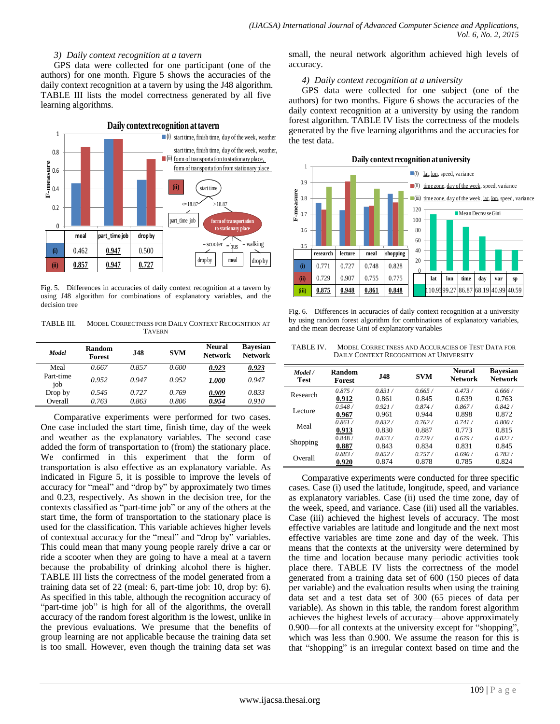#### *3) Daily context recognition at a tavern*

GPS data were collected for one participant (one of the authors) for one month. Figure 5 shows the accuracies of the daily context recognition at a tavern by using the J48 algorithm. TABLE III lists the model correctness generated by all five learning algorithms.



Fig. 5. Differences in accuracies of daily context recognition at a tavern by using J48 algorithm for combinations of explanatory variables, and the decision tree

TABLE III. MODEL CORRECTNESS FOR DAILY CONTEXT RECOGNITION AT **TAVERN** 

| Model            | Random<br><b>Forest</b> | <b>J48</b> | <b>SVM</b> | <b>Neural</b><br><b>Network</b> | <b>Bavesian</b><br><b>Network</b> |
|------------------|-------------------------|------------|------------|---------------------------------|-----------------------------------|
| Meal             | 0.667                   | 0.857      | 0.600      | 0.923                           | 0.923                             |
| Part-time<br>job | 0.952                   | 0.947      | 0.952      | 1.000                           | 0.947                             |
| Drop by          | 0.545                   | 0.727      | 0.769      | 0.909                           | 0.833                             |
| Overall          | 0.763                   | 0.863      | 0.806      | 0.954                           | 0.910                             |

Comparative experiments were performed for two cases. One case included the start time, finish time, day of the week and weather as the explanatory variables. The second case added the form of transportation to (from) the stationary place. We confirmed in this experiment that the form of transportation is also effective as an explanatory variable. As indicated in Figure 5, it is possible to improve the levels of accuracy for "meal" and "drop by" by approximately two times and 0.23, respectively. As shown in the decision tree, for the contexts classified as "part-time job" or any of the others at the start time, the form of transportation to the stationary place is used for the classification. This variable achieves higher levels of contextual accuracy for the "meal" and "drop by" variables. This could mean that many young people rarely drive a car or ride a scooter when they are going to have a meal at a tavern because the probability of drinking alcohol there is higher. TABLE III lists the correctness of the model generated from a training data set of 22 (meal: 6, part-time job: 10, drop by: 6). As specified in this table, although the recognition accuracy of "part-time job" is high for all of the algorithms, the overall accuracy of the random forest algorithm is the lowest, unlike in the previous evaluations. We presume that the benefits of group learning are not applicable because the training data set is too small. However, even though the training data set was small, the neural network algorithm achieved high levels of accuracy.

#### *4) Daily context recognition at a university*

GPS data were collected for one subject (one of the authors) for two months. Figure 6 shows the accuracies of the daily context recognition at a university by using the random forest algorithm. TABLE IV lists the correctness of the models generated by the five learning algorithms and the accuracies for the test data.



Fig. 6. Differences in accuracies of daily context recognition at a university by using random forest algorithm for combinations of explanatory variables, and the mean decrease Gini of explanatory variables

| TABLE IV. | MODEL CORRECTNESS AND ACCURACIES OF TEST DATA FOR |
|-----------|---------------------------------------------------|
|           | <b>DAILY CONTEXT RECOGNITION AT UNIVERSITY</b>    |

| Model /<br><b>Test</b> | Random<br>Forest | J48    | <b>SVM</b> | <b>Neural</b><br><b>Network</b> | <b>Bavesian</b><br><b>Network</b> |
|------------------------|------------------|--------|------------|---------------------------------|-----------------------------------|
| Research               | 0.875/           | 0.831/ | 0.665/     | 0.473/                          | 0.666/                            |
|                        | 0.912            | 0.861  | 0.845      | 0.639                           | 0.763                             |
|                        | 0.948/           | 0.921/ | 0.874/     | 0.867/                          | 0.842/                            |
| Lecture                | 0.967            | 0.961  | 0.944      | 0.898                           | 0.872                             |
| Meal                   | 0.861/           | 0.832/ | 0.762/     | 0.741/                          | 0.800 /                           |
|                        | 0.913            | 0.830  | 0.887      | 0.773                           | 0.815                             |
|                        | 0.848/           | 0.823/ | 0.729/     | 0.679/                          | 0.822/                            |
| Shopping               | 0.887            | 0.843  | 0.834      | 0.831                           | 0.845                             |
| Overall                | 0.883/           | 0.852/ | 0.757/     | 0.690/                          | 0.782/                            |
|                        | 0.920            | 0.874  | 0.878      | 0.785                           | 0.824                             |

Comparative experiments were conducted for three specific cases. Case (i) used the latitude, longitude, speed, and variance as explanatory variables. Case (ii) used the time zone, day of the week, speed, and variance. Case (iii) used all the variables. Case (iii) achieved the highest levels of accuracy. The most effective variables are latitude and longitude and the next most effective variables are time zone and day of the week. This means that the contexts at the university were determined by the time and location because many periodic activities took place there. TABLE IV lists the correctness of the model generated from a training data set of 600 (150 pieces of data per variable) and the evaluation results when using the training data set and a test data set of 300 (65 pieces of data per variable). As shown in this table, the random forest algorithm achieves the highest levels of accuracy—above approximately 0.900—for all contexts at the university except for "shopping", which was less than 0.900. We assume the reason for this is that "shopping" is an irregular context based on time and the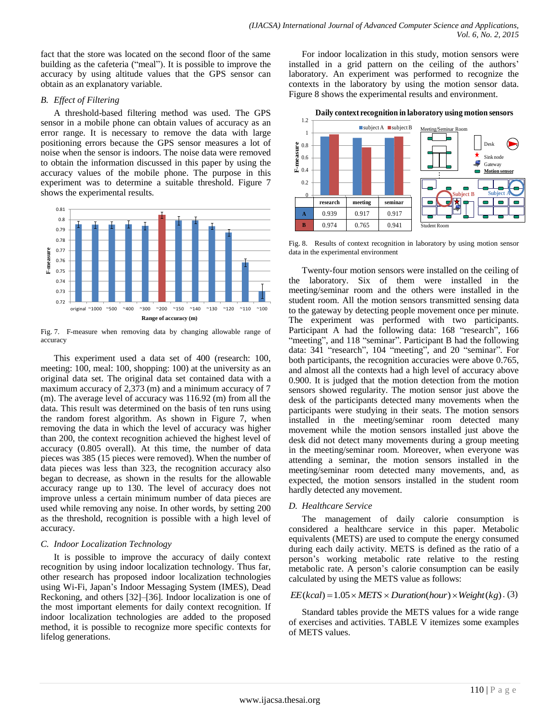fact that the store was located on the second floor of the same building as the cafeteria ("meal"). It is possible to improve the accuracy by using altitude values that the GPS sensor can obtain as an explanatory variable.

#### *B. Effect of Filtering*

A threshold-based filtering method was used. The GPS sensor in a mobile phone can obtain values of accuracy as an error range. It is necessary to remove the data with large positioning errors because the GPS sensor measures a lot of noise when the sensor is indoors. The noise data were removed to obtain the information discussed in this paper by using the accuracy values of the mobile phone. The purpose in this experiment was to determine a suitable threshold. Figure 7 shows the experimental results.



Fig. 7. F-measure when removing data by changing allowable range of accuracy

This experiment used a data set of 400 (research: 100, meeting: 100, meal: 100, shopping: 100) at the university as an original data set. The original data set contained data with a maximum accuracy of 2,373 (m) and a minimum accuracy of 7 (m). The average level of accuracy was 116.92 (m) from all the data. This result was determined on the basis of ten runs using the random forest algorithm. As shown in Figure 7, when removing the data in which the level of accuracy was higher than 200, the context recognition achieved the highest level of accuracy (0.805 overall). At this time, the number of data pieces was 385 (15 pieces were removed). When the number of data pieces was less than 323, the recognition accuracy also began to decrease, as shown in the results for the allowable accuracy range up to 130. The level of accuracy does not improve unless a certain minimum number of data pieces are used while removing any noise. In other words, by setting 200 as the threshold, recognition is possible with a high level of accuracy.

## *C. Indoor Localization Technology*

It is possible to improve the accuracy of daily context recognition by using indoor localization technology. Thus far, other research has proposed indoor localization technologies using Wi-Fi, Japan's Indoor Messaging System (IMES), Dead Reckoning, and others [32]–[36]. Indoor localization is one of the most important elements for daily context recognition. If indoor localization technologies are added to the proposed method, it is possible to recognize more specific contexts for lifelog generations.

For indoor localization in this study, motion sensors were installed in a grid pattern on the ceiling of the authors' laboratory. An experiment was performed to recognize the contexts in the laboratory by using the motion sensor data. Figure 8 shows the experimental results and environment.



Fig. 8. Results of context recognition in laboratory by using motion sensor data in the experimental environment

Twenty-four motion sensors were installed on the ceiling of the laboratory. Six of them were installed in the meeting/seminar room and the others were installed in the student room. All the motion sensors transmitted sensing data to the gateway by detecting people movement once per minute. The experiment was performed with two participants. Participant A had the following data: 168 "research", 166 "meeting", and 118 "seminar". Participant B had the following data: 341 "research", 104 "meeting", and 20 "seminar". For both participants, the recognition accuracies were above 0.765, and almost all the contexts had a high level of accuracy above 0.900. It is judged that the motion detection from the motion sensors showed regularity. The motion sensor just above the desk of the participants detected many movements when the participants were studying in their seats. The motion sensors installed in the meeting/seminar room detected many movement while the motion sensors installed just above the desk did not detect many movements during a group meeting in the meeting/seminar room. Moreover, when everyone was attending a seminar, the motion sensors installed in the meeting/seminar room detected many movements, and, as expected, the motion sensors installed in the student room hardly detected any movement.

## *D. Healthcare Service*

The management of daily calorie consumption is considered a healthcare service in this paper. Metabolic equivalents (METS) are used to compute the energy consumed during each daily activity. METS is defined as the ratio of a person's working metabolic rate relative to the resting metabolic rate. A person's calorie consumption can be easily calculated by using the METS value as follows:

# $EE(kcal) = 1.05 \times METS \times Duration(hour) \times Weight(kg)$ . (3)

Standard tables provide the METS values for a wide range of exercises and activities. TABLE V itemizes some examples of METS values.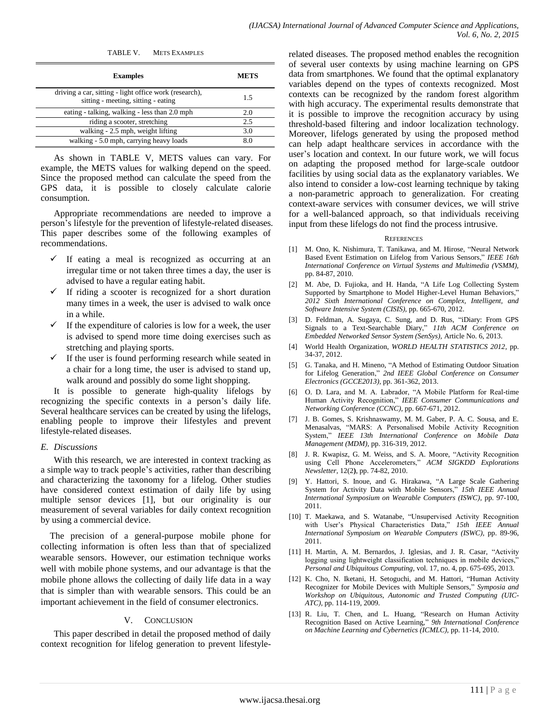| TABLE V. METS EXAMPLES                                                                        |             |
|-----------------------------------------------------------------------------------------------|-------------|
| <b>Examples</b>                                                                               | <b>METS</b> |
| driving a car, sitting - light office work (research),<br>sitting - meeting, sitting - eating | 1.5         |
| eating - talking, walking - less than 2.0 mph                                                 | 2.0         |
| riding a scooter, stretching                                                                  | 2.5         |
| walking - 2.5 mph, weight lifting                                                             | 3.0         |
| walking - 5.0 mph, carrying heavy loads                                                       | 8.0         |

As shown in TABLE V, METS values can vary. For example, the METS values for walking depend on the speed. Since the proposed method can calculate the speed from the GPS data, it is possible to closely calculate calorie consumption.

Appropriate recommendations are needed to improve a person's lifestyle for the prevention of lifestyle-related diseases. This paper describes some of the following examples of recommendations.

- If eating a meal is recognized as occurring at an irregular time or not taken three times a day, the user is advised to have a regular eating habit.
- If riding a scooter is recognized for a short duration many times in a week, the user is advised to walk once in a while.
- $\checkmark$  If the expenditure of calories is low for a week, the user is advised to spend more time doing exercises such as stretching and playing sports.
- $\checkmark$  If the user is found performing research while seated in a chair for a long time, the user is advised to stand up, walk around and possibly do some light shopping.

It is possible to generate high-quality lifelogs by recognizing the specific contexts in a person's daily life. Several healthcare services can be created by using the lifelogs, enabling people to improve their lifestyles and prevent lifestyle-related diseases.

## *E. Discussions*

With this research, we are interested in context tracking as a simple way to track people's activities, rather than describing and characterizing the taxonomy for a lifelog. Other studies have considered context estimation of daily life by using multiple sensor devices [1], but our originality is our measurement of several variables for daily context recognition by using a commercial device.

The precision of a general-purpose mobile phone for collecting information is often less than that of specialized wearable sensors. However, our estimation technique works well with mobile phone systems, and our advantage is that the mobile phone allows the collecting of daily life data in a way that is simpler than with wearable sensors. This could be an important achievement in the field of consumer electronics.

# V. CONCLUSION

This paper described in detail the proposed method of daily context recognition for lifelog generation to prevent lifestylerelated diseases. The proposed method enables the recognition of several user contexts by using machine learning on GPS data from smartphones. We found that the optimal explanatory variables depend on the types of contexts recognized. Most contexts can be recognized by the random forest algorithm with high accuracy. The experimental results demonstrate that it is possible to improve the recognition accuracy by using threshold-based filtering and indoor localization technology. Moreover, lifelogs generated by using the proposed method can help adapt healthcare services in accordance with the user's location and context. In our future work, we will focus on adapting the proposed method for large-scale outdoor facilities by using social data as the explanatory variables. We also intend to consider a low-cost learning technique by taking a non-parametric approach to generalization. For creating context-aware services with consumer devices, we will strive for a well-balanced approach, so that individuals receiving input from these lifelogs do not find the process intrusive.

## **REFERENCES**

- [1] M. Ono, K. Nishimura, T. Tanikawa, and M. Hirose, "Neural Network Based Event Estimation on Lifelog from Various Sensors," IEEE 16th *International Conference on Virtual Systems and Multimedia (VSMM),*  pp. 84-87, 2010.
- [2] M. Abe, D. Fujioka, and H. Handa, "A Life Log Collecting System Supported by Smartphone to Model Higher-Level Human Behaviors," *2012 Sixth International Conference on Complex, Intelligent, and Software Intensive System (CISIS),* pp. 665-670, 2012.
- [3] D. Feldman, A. Sugaya, C. Sung, and D. Rus, "iDiary: From GPS Signals to a Text-Searchable Diary," 11th ACM Conference on *Embedded Networked Sensor System (SenSys),* Article No. 6, 2013.
- [4] World Health Organization, *WORLD HEALTH STATISTICS 2012,* pp. 34-37, 2012.
- [5] G. Tanaka, and H. Mineno, "A Method of Estimating Outdoor Situation for Lifelog Generation," 2nd IEEE Global Conference on Consumer *Electronics (GCCE2013),* pp. 361-362, 2013.
- [6] O. D. Lara, and M. A. Labrador, "A Mobile Platform for Real-time Human Activity Recognition," IEEE Consumer Communications and *Networking Conference (CCNC),* pp. 667-671, 2012.
- [7] J. B. Gomes, S. Krishnaswamy, M. M. Gaber, P. A. C. Sousa, and E. Menasalvas, "MARS: A Personalised Mobile Activity Recognition System,‖ *IEEE 13th International Conference on Mobile Data Management (MDM),* pp. 316-319, 2012.
- [8] J. R. Kwapisz, G. M. Weiss, and S. A. Moore, "Activity Recognition using Cell Phone Accelerometers," *ACM SIGKDD Explorations Newsletter,* 12(2**)**, pp. 74-82, 2010.
- [9] Y. Hattori, S. Inoue, and G. Hirakawa, "A Large Scale Gathering System for Activity Data with Mobile Sensors," 15th IEEE Annual *International Symposium on Wearable Computers (ISWC),* pp. 97-100, 2011.
- [10] T. Maekawa, and S. Watanabe, "Unsupervised Activity Recognition with User's Physical Characteristics Data," 15th IEEE Annual *International Symposium on Wearable Computers (ISWC),* pp. 89-96, 2011.
- [11] H. Martin, A. M. Bernardos, J. Iglesias, and J. R. Casar, "Activity logging using lightweight classification techniques in mobile devices, *Personal and Ubiquitous Computing,* vol. 17, no. 4, pp. 675-695, 2013.
- [12] K. Cho, N. Iketani, H. Setoguchi, and M. Hattori, "Human Activity Recognizer for Mobile Devices with Multiple Sensors," Symposia and *Workshop on Ubiquitous, Autonomic and Trusted Computing (UIC-ATC),* pp. 114-119, 2009.
- [13] R. Liu, T. Chen, and L. Huang, "Research on Human Activity Recognition Based on Active Learning," 9th International Conference *on Machine Learning and Cybernetics (ICMLC),* pp. 11-14, 2010.